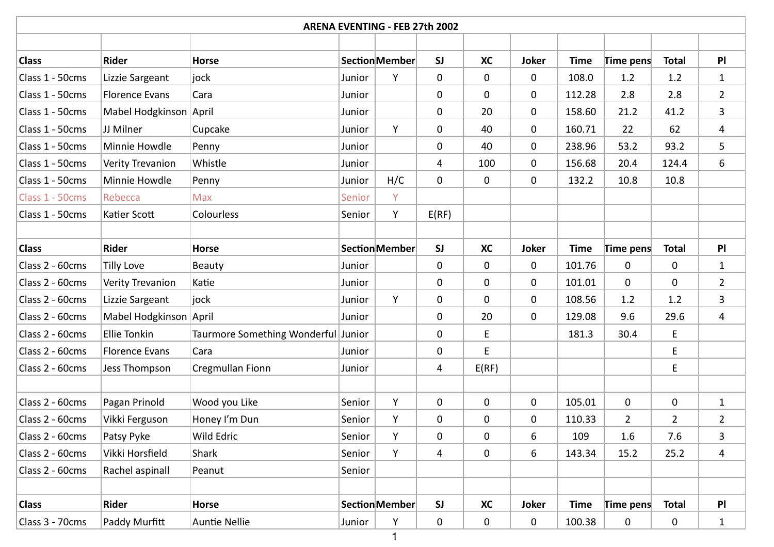|                 |                        |                                     |        | <b>ARENA EVENTING - FEB 27th 2002</b> |             |           |              |             |                |                |                |
|-----------------|------------------------|-------------------------------------|--------|---------------------------------------|-------------|-----------|--------------|-------------|----------------|----------------|----------------|
|                 |                        |                                     |        |                                       |             |           |              |             |                |                |                |
| <b>Class</b>    | <b>Rider</b>           | <b>Horse</b>                        |        | Section Member                        | <b>SJ</b>   | <b>XC</b> | <b>Joker</b> | <b>Time</b> | Time pens      | <b>Total</b>   | PI             |
| Class 1 - 50cms | Lizzie Sargeant        | jock                                | Junior | Y                                     | $\mathbf 0$ | 0         | $\mathbf 0$  | 108.0       | 1.2            | 1.2            | $\mathbf{1}$   |
| Class 1 - 50cms | <b>Florence Evans</b>  | Cara                                | Junior |                                       | $\mathbf 0$ | 0         | $\mathbf 0$  | 112.28      | 2.8            | 2.8            | $2^{\circ}$    |
| Class 1 - 50cms | Mabel Hodgkinson April |                                     | Junior |                                       | $\mathbf 0$ | 20        | $\mathbf 0$  | 158.60      | 21.2           | 41.2           | 3              |
| Class 1 - 50cms | JJ Milner              | Cupcake                             | Junior | Y                                     | $\mathbf 0$ | 40        | $\mathbf 0$  | 160.71      | 22             | 62             | $\overline{4}$ |
| Class 1 - 50cms | Minnie Howdle          | Penny                               | Junior |                                       | $\mathbf 0$ | 40        | 0            | 238.96      | 53.2           | 93.2           | 5              |
| Class 1 - 50cms | Verity Trevanion       | Whistle                             | Junior |                                       | 4           | 100       | $\mathbf 0$  | 156.68      | 20.4           | 124.4          | 6              |
| Class 1 - 50cms | Minnie Howdle          | Penny                               | Junior | H/C                                   | $\mathbf 0$ | 0         | 0            | 132.2       | 10.8           | 10.8           |                |
| Class 1 - 50cms | Rebecca                | <b>Max</b>                          | Senior | Y                                     |             |           |              |             |                |                |                |
| Class 1 - 50cms | Katier Scott           | Colourless                          | Senior | Y.                                    | E(RF)       |           |              |             |                |                |                |
|                 |                        |                                     |        |                                       |             |           |              |             |                |                |                |
| <b>Class</b>    | <b>Rider</b>           | <b>Horse</b>                        |        | <b>Section Member</b>                 | <b>SJ</b>   | <b>XC</b> | <b>Joker</b> | <b>Time</b> | Time pens      | <b>Total</b>   | PI             |
| Class 2 - 60cms | <b>Tilly Love</b>      | <b>Beauty</b>                       | Junior |                                       | $\mathbf 0$ | 0         | $\mathbf 0$  | 101.76      | 0              | 0              | $\mathbf{1}$   |
| Class 2 - 60cms | Verity Trevanion       | Katie                               | Junior |                                       | $\mathbf 0$ | 0         | $\mathbf 0$  | 101.01      | $\mathbf 0$    | 0              | $\overline{2}$ |
| Class 2 - 60cms | Lizzie Sargeant        | jock                                | Junior | Y                                     | $\mathbf 0$ | 0         | $\mathbf 0$  | 108.56      | 1.2            | 1.2            | 3              |
| Class 2 - 60cms | Mabel Hodgkinson April |                                     | Junior |                                       | $\mathbf 0$ | 20        | 0            | 129.08      | 9.6            | 29.6           | $\overline{4}$ |
| Class 2 - 60cms | <b>Ellie Tonkin</b>    | Taurmore Something Wonderful Junior |        |                                       | $\mathbf 0$ | E         |              | 181.3       | 30.4           | E              |                |
| Class 2 - 60cms | <b>Florence Evans</b>  | Cara                                | Junior |                                       | 0           | E         |              |             |                | E              |                |
| Class 2 - 60cms | Jess Thompson          | Cregmullan Fionn                    | Junior |                                       | 4           | E(RF)     |              |             |                | E.             |                |
|                 |                        |                                     |        |                                       |             |           |              |             |                |                |                |
| Class 2 - 60cms | Pagan Prinold          | Wood you Like                       | Senior | Y                                     | 0           | 0         | 0            | 105.01      | $\mathbf 0$    | 0              | $\mathbf{1}$   |
| Class 2 - 60cms | Vikki Ferguson         | Honey I'm Dun                       | Senior | Y                                     | 0           | 0         | 0            | 110.33      | $\overline{2}$ | $\overline{2}$ | $\overline{2}$ |
| Class 2 - 60cms | Patsy Pyke             | Wild Edric                          | Senior | Y                                     | 0           | 0         | 6            | 109         | 1.6            | 7.6            | 3              |
| Class 2 - 60cms | Vikki Horsfield        | Shark                               | Senior | Y                                     | 4           | 0         | 6            | 143.34      | 15.2           | 25.2           | 4              |
| Class 2 - 60cms | Rachel aspinall        | Peanut                              | Senior |                                       |             |           |              |             |                |                |                |
|                 |                        |                                     |        |                                       |             |           |              |             |                |                |                |
| <b>Class</b>    | Rider                  | Horse                               |        | Section Member                        | SI          | <b>XC</b> | Joker        | <b>Time</b> | Time pens      | <b>Total</b>   | PI             |
| Class 3 - 70cms | Paddy Murfitt          | Auntie Nellie                       | Junior | Y                                     | 0           | 0         | 0            | 100.38      | $\pmb{0}$      | $\pmb{0}$      | $\mathbf{1}$   |